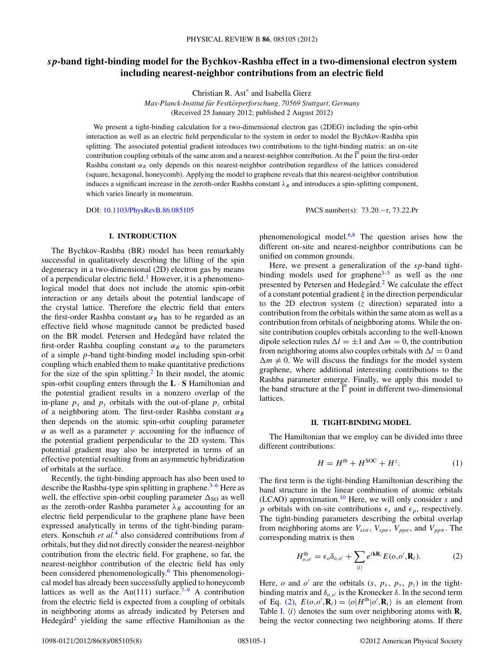# <span id="page-0-0"></span>*sp***-band tight-binding model for the Bychkov-Rashba effect in a two-dimensional electron system including nearest-neighbor contributions from an electric field**

Christian R. As[t\\*](#page-6-0) and Isabella Gierz

*Max-Planck-Institut fur Festk ¨ orperforschung, 70569 Stuttgart, Germany ¨* (Received 25 January 2012; published 2 August 2012)

We present a tight-binding calculation for a two-dimensional electron gas (2DEG) including the spin-orbit interaction as well as an electric field perpendicular to the system in order to model the Bychkov-Rashba spin splitting. The associated potential gradient introduces two contributions to the tight-binding matrix: an on-site contribution coupling orbitals of the same atom and a nearest-neighbor contribution. At the  $\Gamma$  point the first-order Rashba constant  $\alpha_R$  only depends on this nearest-neighbor contribution regardless of the lattices considered (square, hexagonal, honeycomb). Applying the model to graphene reveals that this nearest-neighbor contribution induces a significant increase in the zeroth-order Rashba constant *λ<sub>R</sub>* and introduces a spin-splitting component, which varies linearly in momentum.

DOI: [10.1103/PhysRevB.86.085105](http://dx.doi.org/10.1103/PhysRevB.86.085105) PACS number(s): 73*.*20*.*−r, 73*.*22*.*Pr

### **I. INTRODUCTION**

The Bychkov-Rashba (BR) model has been remarkably successful in qualitatively describing the lifting of the spin degeneracy in a two-dimensional (2D) electron gas by means of a perpendicular electric field.<sup>[1](#page-6-0)</sup> However, it is a phenomenological model that does not include the atomic spin-orbit interaction or any details about the potential landscape of the crystal lattice. Therefore the electric field that enters the first-order Rashba constant  $\alpha_R$  has to be regarded as an effective field whose magnitude cannot be predicted based on the BR model. Petersen and Hedegård have related the first-order Rashba coupling constant  $\alpha_R$  to the parameters of a simple *p*-band tight-binding model including spin-orbit coupling which enabled them to make quantitative predictions for the size of the spin splitting.<sup>[2](#page-6-0)</sup> In their model, the atomic spin-orbit coupling enters through the **L** · **S** Hamiltonian and the potential gradient results in a nonzero overlap of the in-plane  $p_x$  and  $p_y$  orbitals with the out-of-plane  $p_z$  orbital of a neighboring atom. The first-order Rashba constant *αR* then depends on the atomic spin-orbit coupling parameter *α* as well as a parameter *γ* accounting for the influence of the potential gradient perpendicular to the 2D system. This potential gradient may also be interpreted in terms of an effective potential resulting from an asymmetric hybridization of orbitals at the surface.

Recently, the tight-binding approach has also been used to describe the Rashba-type spin splitting in graphene. $3-6$  Here as well, the effective spin-orbit coupling parameter  $\Delta_{SO}$  as well as the zeroth-order Rashba parameter  $\lambda_R$  accounting for an electric field perpendicular to the graphene plane have been expressed analytically in terms of the tight-binding parameters. Konschuh *et al.*[4](#page-6-0) also considered contributions from *d* orbitals, but they did not directly consider the nearest-neighbor contribution from the electric field. For graphene, so far, the nearest-neighbor contribution of the electric field has only been considered phenomenologically.<sup>6</sup> This phenomenological model has already been successfully applied to honeycomb lattices as well as the Au(111) surface.<sup> $7-9$ </sup> A contribution from the electric field is expected from a coupling of orbitals in neighboring atoms as already indicated by Petersen and Hedegård<sup>[2](#page-6-0)</sup> yielding the same effective Hamiltonian as the phenomenological model.<sup>[6,8](#page-6-0)</sup> The question arises how the different on-site and nearest-neighbor contributions can be unified on common grounds.

Here, we present a generalization of the *sp*-band tightbinding models used for graphene $3-5$  as well as the one presented by Petersen and Hedegård.<sup>[2](#page-6-0)</sup> We calculate the effect of a constant potential gradient *ξ* in the direction perpendicular to the 2D electron system (*z* direction) separated into a contribution from the orbitals within the same atom as well as a contribution from orbitals of neighboring atoms. While the onsite contribution couples orbitals according to the well-known dipole selection rules  $\Delta l = \pm 1$  and  $\Delta m = 0$ , the contribution from neighboring atoms also couples orbitals with  $\Delta l = 0$  and  $\Delta m \neq 0$ . We will discuss the findings for the model system graphene, where additional interesting contributions to the Rashba parameter emerge. Finally, we apply this model to the band structure at the  $\Gamma$  point in different two-dimensional lattices.

#### **II. TIGHT-BINDING MODEL**

The Hamiltonian that we employ can be divided into three different contributions:

$$
H = H^{\text{tb}} + H^{\text{SOC}} + H^z. \tag{1}
$$

The first term is the tight-binding Hamiltonian describing the band structure in the linear combination of atomic orbitals (LCAO) approximation.[10](#page-6-0) Here, we will only consider *s* and *p* orbitals with on-site contributions  $\epsilon_s$  and  $\epsilon_p$ , respectively. The tight-binding parameters describing the orbital overlap from neighboring atoms are  $V_{ss\sigma}$ ,  $V_{sp\sigma}$ ,  $V_{pp\sigma}$ , and  $V_{pp\pi}$ . The corresponding matrix is then

$$
H_{o,o'}^{\text{tb}} = \epsilon_o \delta_{o,o'} + \sum_{\langle i \rangle} e^{i\mathbf{k} \mathbf{R}_i} E(o,o', \mathbf{R}_i). \tag{2}
$$

Here, *o* and *o'* are the orbitals  $(s, p_x, p_y, p_z)$  in the tightbinding matrix and  $\delta_{o,o'}$  is the Kronecker  $\delta$ . In the second term of Eq. (2),  $E(o, o', \mathbf{R}_i) = \langle o | H^{\text{tb}} | o', \mathbf{R}_i \rangle$  is an element from Table [I.](#page-1-0)  $\langle i \rangle$  denotes the sum over neighboring atoms with  $\mathbf{R}_i$ being the vector connecting two neighboring atoms. If there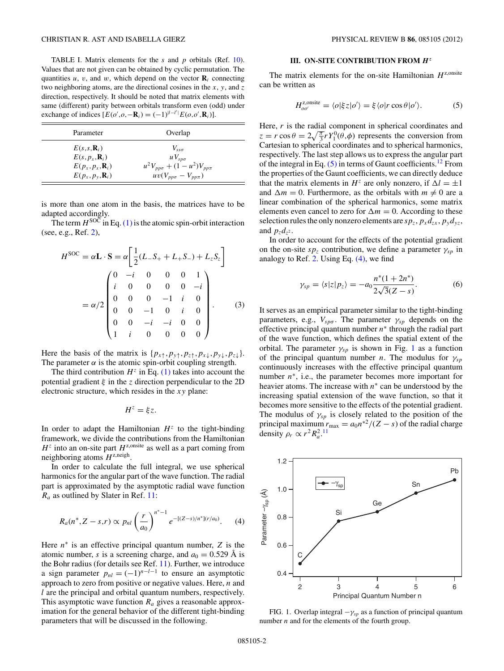<span id="page-1-0"></span>TABLE I. Matrix elements for the *s* and *p* orbitals (Ref. [10\)](#page-6-0). Values that are not given can be obtained by cyclic permutation. The quantities  $u$ ,  $v$ , and  $w$ , which depend on the vector  $\mathbf{R}_i$  connecting two neighboring atoms, are the directional cosines in the *x*, *y*, and *z* direction, respectively. It should be noted that matrix elements with same (different) parity between orbitals transform even (odd) under exchange of indices  $[E(o', o, -\mathbf{R}_i) = (-1)^{|l-l'|} E(o, o', \mathbf{R}_i)].$ 

| Parameter                                          | Overlap                                  |
|----------------------------------------------------|------------------------------------------|
| $E(s,s,\mathbf{R}_i)$<br>$E(s, p_r, \mathbf{R}_i)$ | $V_{ss\sigma}$<br>$uV_{\rm s\nu\sigma}$  |
| $E(p_x, p_x, \mathbf{R}_i)$                        | $u^2 V_{pp\sigma} + (1 - u^2) V_{pp\pi}$ |
| $E(p_x, p_y, \mathbf{R}_i)$                        | $uv(V_{pp\sigma}-V_{pp\pi})$             |

is more than one atom in the basis, the matrices have to be adapted accordingly.

The term  $H^{SOC}$  in Eq. [\(1\)](#page-0-0) is the atomic spin-orbit interaction (see, e.g., Ref. [2\)](#page-6-0),

$$
H^{\text{SOC}} = \alpha \mathbf{L} \cdot \mathbf{S} = \alpha \left[ \frac{1}{2} (L_{-} S_{+} + L_{+} S_{-}) + L_{z} S_{z} \right]
$$

$$
= \alpha/2 \begin{pmatrix} 0 & -i & 0 & 0 & 0 & 1 \\ i & 0 & 0 & 0 & 0 & -i \\ 0 & 0 & 0 & -1 & i & 0 \\ 0 & 0 & -1 & 0 & i & 0 \\ 0 & 0 & -i & -i & 0 & 0 \\ 1 & i & 0 & 0 & 0 & 0 \end{pmatrix} . \tag{3}
$$

Here the basis of the matrix is  $\{p_{x\uparrow}, p_{y\uparrow}, p_{z\uparrow}, p_{x\downarrow}, p_{y\downarrow}, p_{z\downarrow}\}.$ The parameter  $\alpha$  is the atomic spin-orbit coupling strength.

The third contribution  $H^z$  in Eq. [\(1\)](#page-0-0) takes into account the potential gradient *ξ* in the *z* direction perpendicular to the 2D electronic structure, which resides in the *xy* plane:

$$
H^z = \xi z.
$$

In order to adapt the Hamiltonian  $H^z$  to the tight-binding framework, we divide the contributions from the Hamiltonian  $H^z$  into an on-site part  $H^{z, \text{onsite}}$  as well as a part coming from neighboring atoms  $H^{z,\text{neigh}}$ .

In order to calculate the full integral, we use spherical harmonics for the angular part of the wave function. The radial part is approximated by the asymptotic radial wave function *Ra* as outlined by Slater in Ref. [11:](#page-6-0)

$$
R_a(n^*, Z - s, r) \propto p_{nl} \left(\frac{r}{a_0}\right)^{n^*-1} e^{-[(Z - s)/n^*](r/a_0)}.
$$
 (4)

Here *n*<sup>∗</sup> is an effective principal quantum number, *Z* is the atomic number, *s* is a screening charge, and  $a_0 = 0.529$  Å is the Bohr radius (for details see Ref. [11\)](#page-6-0). Further, we introduce a sign parameter  $p_{nl} = (-1)^{n-l-1}$  to ensure an asymptotic approach to zero from positive or negative values. Here, *n* and *l* are the principal and orbital quantum numbers, respectively. This asymptotic wave function *Ra* gives a reasonable approximation for the general behavior of the different tight-binding parameters that will be discussed in the following.

### **III. ON-SITE CONTRIBUTION FROM** *H<sup>z</sup>*

The matrix elements for the on-site Hamiltonian  $H^{z,onsite}$ can be written as

$$
H_{oo'}^{z,\text{onsite}} = \langle o|\xi z|o'\rangle = \xi \langle o|r\cos\theta|o'\rangle. \tag{5}
$$

Here, *r* is the radial component in spherical coordinates and  $z = r \cos \theta = 2\sqrt{\frac{\pi}{3}} r Y_1^0(\theta, \phi)$  represents the conversion from Cartesian to spherical coordinates and to spherical harmonics, respectively. The last step allows us to express the angular part of the integral in Eq.  $(5)$  in terms of Gaunt coefficients.<sup>[12](#page-6-0)</sup> From the properties of the Gaunt coefficients, we can directly deduce that the matrix elements in  $H^z$  are only nonzero, if  $\Delta l = \pm 1$ and  $\Delta m = 0$ . Furthermore, as the orbitals with  $m \neq 0$  are a linear combination of the spherical harmonics, some matrix elements even cancel to zero for  $\Delta m = 0$ . According to these selection rules the only nonzero elements are  $sp_z$ ,  $p_xd_{zx}$ ,  $p_yd_{yz}$ , and  $p_z d_{z^2}$ .

In order to account for the effects of the potential gradient on the on-site  $sp_z$  contribution, we define a parameter  $\gamma_{sp}$  in analogy to Ref. [2.](#page-6-0) Using Eq. (4), we find

$$
\gamma_{sp} = \langle s|z|p_z \rangle = -a_0 \frac{n^*(1+2n^*)}{2\sqrt{3}(Z-s)}.
$$
 (6)

It serves as an empirical parameter similar to the tight-binding parameters, e.g.,  $V_{spo}$ . The parameter  $\gamma_{sp}$  depends on the effective principal quantum number *n*<sup>∗</sup> through the radial part of the wave function, which defines the spatial extent of the orbital. The parameter  $\gamma_{sp}$  is shown in Fig. 1 as a function of the principal quantum number *n*. The modulus for *γsp* continuously increases with the effective principal quantum number *n*<sup>∗</sup>, i.e., the parameter becomes more important for heavier atoms. The increase with *n*<sup>∗</sup> can be understood by the increasing spatial extension of the wave function, so that it becomes more sensitive to the effects of the potential gradient. The modulus of  $\gamma_{sp}$  is closely related to the position of the principal maximum  $r_{\text{max}} = a_0 n^{*2} / (Z - s)$  of the radial charge density  $\rho_r \propto r^2 R_a^2$ .<sup>[11](#page-6-0)</sup>



FIG. 1. Overlap integral  $-\gamma_{sp}$  as a function of principal quantum number *n* and for the elements of the fourth group.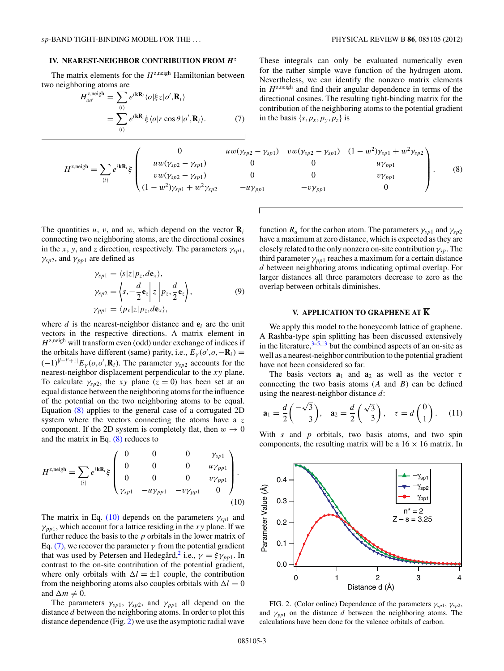### <span id="page-2-0"></span>**IV. NEAREST-NEIGHBOR CONTRIBUTION FROM** *H<sup>z</sup>*

The matrix elements for the  $H^{z, \text{neigh}}$  Hamiltonian between two neighboring atoms are

$$
H_{oo'}^{z, \text{neigh}} = \sum_{\langle i \rangle} e^{i \mathbf{k} \mathbf{R}_i} \langle o | \xi z | o', \mathbf{R}_i \rangle
$$
  
= 
$$
\sum_{\langle i \rangle} e^{i \mathbf{k} \mathbf{R}_i} \xi \langle o | r \cos \theta | o', \mathbf{R}_i \rangle.
$$
 (7)

$$
H^{z,\text{neigh}} = \sum_{(i)} e^{i\mathbf{k} \mathbf{R}_i} \xi \begin{pmatrix} 0 & u w(\gamma_{sp2} \\ u w(\gamma_{sp2} - \gamma_{sp1}) & 0 \\ v w(\gamma_{sp2} - \gamma_{sp1}) & 0 \\ (1 - w^2)\gamma_{sp1} + w^2 \gamma_{sp2} & -u \end{pmatrix}
$$

The quantities  $u$ ,  $v$ , and  $w$ , which depend on the vector  $\mathbf{R}_i$ connecting two neighboring atoms, are the directional cosines in the *x*, *y*, and *z* direction, respectively. The parameters  $\gamma_{sp1}$ ,  $\gamma_{sp2}$ , and  $\gamma_{pp1}$  are defined as

$$
\gamma_{sp1} = \langle s|z|p_z, d\mathbf{e}_x \rangle, \n\gamma_{sp2} = \langle s, -\frac{d}{2}\mathbf{e}_z | z | p_z, \frac{d}{2}\mathbf{e}_z \rangle, \n\gamma_{pp1} = \langle p_x | z | p_z, d\mathbf{e}_x \rangle,
$$
\n(9)

where  $d$  is the nearest-neighbor distance and  $e_i$  are the unit vectors in the respective directions. A matrix element in  $H^{z, \text{neigh}}$  will transform even (odd) under exchange of indices if the orbitals have different (same) parity, i.e.,  $E_{\gamma}(o', o, -\mathbf{R}_i)$  =  $(-1)^{|l-l'+1|} E_{\gamma}(o, o', \mathbf{R}_i)$ . The parameter  $\gamma_{sp2}$  accounts for the nearest-neighbor displacement perpendicular to the *xy* plane. To calculate  $\gamma_{sp2}$ , the *xy* plane ( $z = 0$ ) has been set at an equal distance between the neighboring atoms for the influence of the potential on the two neighboring atoms to be equal. Equation (8) applies to the general case of a corrugated 2D system where the vectors connecting the atoms have a *z* component. If the 2D system is completely flat, then  $w \to 0$ and the matrix in Eq.  $(8)$  reduces to

$$
H^{z,\text{neigh}} = \sum_{\langle i \rangle} e^{i\mathbf{k} \mathbf{R}_i} \xi \begin{pmatrix} 0 & 0 & 0 & \gamma_{sp1} \\ 0 & 0 & 0 & u\gamma_{pp1} \\ 0 & 0 & 0 & v\gamma_{pp1} \\ \gamma_{sp1} & -u\gamma_{pp1} & -v\gamma_{pp1} & 0 \end{pmatrix} . \tag{10}
$$

The matrix in Eq. (10) depends on the parameters  $\gamma_{sp1}$  and  $\gamma_{pp1}$ , which account for a lattice residing in the *xy* plane. If we further reduce the basis to the *p* orbitals in the lower matrix of Eq. (7), we recover the parameter  $\gamma$  from the potential gradient that was used by Petersen and Hedegård,<sup>[2](#page-6-0)</sup> i.e.,  $\gamma = \xi \gamma_{pp1}$ . In contrast to the on-site contribution of the potential gradient, where only orbitals with  $\Delta l = \pm 1$  couple, the contribution from the neighboring atoms also couples orbitals with  $\Delta l = 0$ and  $\Delta m \neq 0$ .

The parameters  $\gamma_{sp1}$ ,  $\gamma_{sp2}$ , and  $\gamma_{pp1}$  all depend on the distance *d* between the neighboring atoms. In order to plot this distance dependence (Fig. 2) we use the asymptotic radial wave These integrals can only be evaluated numerically even for the rather simple wave function of the hydrogen atom. Nevertheless, we can identify the nonzero matrix elements in  $H^{z,\text{neigh}}$  and find their angular dependence in terms of the directional cosines. The resulting tight-binding matrix for the contribution of the neighboring atoms to the potential gradient in the basis  $\{s, p_x, p_y, p_z\}$  is

0 
$$
uw(\gamma_{sp2} - \gamma_{sp1})
$$
  $vw(\gamma_{sp2} - \gamma_{sp1})$   $(1 - w^2)\gamma_{sp1} + w^2\gamma_{sp2}$   
\n $uw(\gamma_{sp2} - \gamma_{sp1})$  0 0  $uv\gamma_{pp1}$   
\n $vw(\gamma_{sp2} - \gamma_{sp1})$  0 0  $v\gamma_{pp1}$   
\n $(1 - w^2)\gamma_{sp1} + w^2\gamma_{sp2}$  - $uv\gamma_{pp1}$  - $v\gamma_{pp1}$  0

function  $R_a$  for the carbon atom. The parameters  $\gamma_{sp1}$  and  $\gamma_{sp2}$ have a maximum at zero distance, which is expected as they are closely related to the only nonzero on-site contribution *γsp*. The third parameter  $\gamma_{pp1}$  reaches a maximum for a certain distance *d* between neighboring atoms indicating optimal overlap. For larger distances all three parameters decrease to zero as the overlap between orbitals diminishes.

## **V. APPLICATION TO GRAPHENE AT K**

We apply this model to the honeycomb lattice of graphene. A Rashba-type spin splitting has been discussed extensively in the literature,  $3\frac{3}{5}$ , 13 but the combined aspects of an on-site as well as a nearest-neighbor contribution to the potential gradient have not been considered so far.

The basis vectors  $a_1$  and  $a_2$  as well as the vector  $\tau$ connecting the two basis atoms (*A* and *B*) can be defined using the nearest-neighbor distance *d*:

$$
\mathbf{a}_1 = \frac{d}{2} \begin{pmatrix} -\sqrt{3} \\ 3 \end{pmatrix}, \quad \mathbf{a}_2 = \frac{d}{2} \begin{pmatrix} \sqrt{3} \\ 3 \end{pmatrix}, \quad \tau = d \begin{pmatrix} 0 \\ 1 \end{pmatrix}. \tag{11}
$$

With *s* and *p* orbitals, two basis atoms, and two spin components, the resulting matrix will be a  $16 \times 16$  matrix. In



FIG. 2. (Color online) Dependence of the parameters *γsp*1, *γsp*2, and  $\gamma_{p}$  on the distance *d* between the neighboring atoms. The calculations have been done for the valence orbitals of carbon.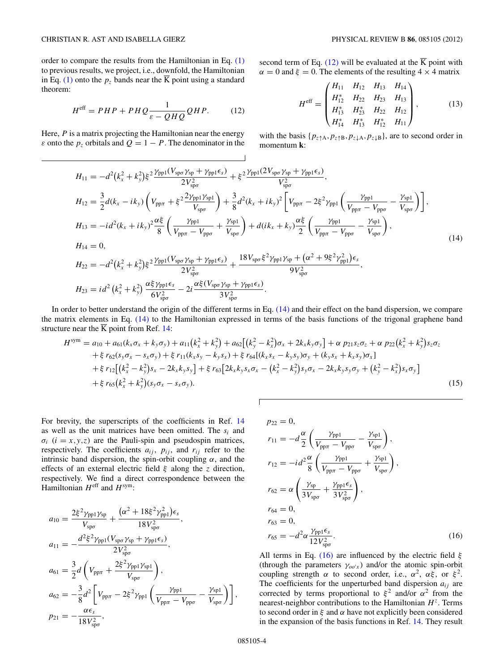<span id="page-3-0"></span>order to compare the results from the Hamiltonian in Eq. [\(1\)](#page-0-0) to previous results, we project, i.e., downfold, the Hamiltonian in Eq.  $(1)$  onto the  $p<sub>z</sub>$  bands near the K point using a standard theorem:

$$
H^{\text{eff}} = PHP + PHQ \frac{1}{\varepsilon - QHQ} QHP. \tag{12}
$$

Here, *P* is a matrix projecting the Hamiltonian near the energy *ε* onto the  $p_z$  orbitals and  $Q = 1 - P$ . The denominator in the second term of Eq. (12) will be evaluated at the  $\overline{K}$  point with  $\alpha = 0$  and  $\xi = 0$ . The elements of the resulting  $4 \times 4$  matrix

$$
H^{\text{eff}} = \begin{pmatrix} H_{11} & H_{12} & H_{13} & H_{14} \\ H_{12}^* & H_{22} & H_{23} & H_{13} \\ H_{13}^* & H_{23}^* & H_{22} & H_{12} \\ H_{14}^* & H_{13}^* & H_{12}^* & H_{11} \end{pmatrix},
$$
(13)

with the basis  $\{p_{z\uparrow A}, p_{z\uparrow B}, p_{z\downarrow A}, p_{z\downarrow B}\}$ , are to second order in momentum **k**:

$$
H_{11} = -d^{2}(k_{x}^{2} + k_{y}^{2})\xi^{2} \frac{\gamma_{\text{pp1}}(V_{\text{sp}\sigma}\gamma_{\text{sp}} + \gamma_{\text{pp1}}\epsilon_{s})}{2V_{\text{sp}\sigma}^{2}} + \xi^{2} \frac{\gamma_{\text{pp1}}(2V_{\text{sp}\sigma}\gamma_{\text{sp}} + \gamma_{\text{pp1}}\epsilon_{s})}{V_{\text{sp}\sigma}^{2}},
$$
\n
$$
H_{12} = \frac{3}{2}d(k_{x} - ik_{y})\left(V_{\text{pp}\pi} + \xi^{2} \frac{2\gamma_{\text{pp1}}\gamma_{\text{sp1}}}{V_{\text{sp}\sigma}}\right) + \frac{3}{8}d^{2}(k_{x} + ik_{y})^{2}\left[V_{\text{pp}\pi} - 2\xi^{2}\gamma_{\text{pp1}}\left(\frac{\gamma_{\text{pp1}}}{V_{\text{pp}\pi} - V_{\text{pp}\sigma}} - \frac{\gamma_{\text{sp1}}}{V_{\text{sp}\sigma}}\right)\right],
$$
\n
$$
H_{13} = -id^{2}(k_{x} + ik_{y})^{2}\frac{\alpha\xi}{8}\left(\frac{\gamma_{\text{pp1}}}{V_{\text{pp}\pi} - V_{\text{pp}\sigma}} + \frac{\gamma_{\text{sp1}}}{V_{\text{sp}\sigma}}\right) + d(ik_{x} + k_{y})\frac{\alpha\xi}{2}\left(\frac{\gamma_{\text{pp1}}}{V_{\text{pp}\pi} - V_{\text{pp}\sigma}} - \frac{\gamma_{\text{sp1}}}{V_{\text{sp}\sigma}}\right),
$$
\n
$$
H_{14} = 0,
$$
\n
$$
H_{22} = -d^{2}(k_{x}^{2} + k_{y}^{2})\xi^{2}\frac{\gamma_{\text{pp1}}(V_{\text{sp}\sigma}\gamma_{\text{sp}} + \gamma_{\text{pp1}}\epsilon_{s})}{2V_{\text{sp}\sigma}^{2}} + \frac{18V_{\text{sp}\sigma}\xi^{2}\gamma_{\text{pp1}}\gamma_{\text{sp}} + (\alpha^{2} + 9\xi^{2}\gamma_{\text{pp1}}^{2})\epsilon_{s}}{9V_{\text{sp}\sigma}^{2}},
$$
\n
$$
H_{23} = id^{2}(k_{x}^{2} + k_{y}^{2})\frac{\alpha\xi\gamma
$$

*.*

In order to better understand the origin of the different terms in Eq. (14) and their effect on the band dispersion, we compare  
the matrix elements in Eq. (14) to the Hamiltonian expressed in terms of the basis functions of the trigonal graphene band  
structure near the 
$$
\overline{K}
$$
 point from Ref. 14:

 $3V_{\rm sp\sigma}^2$ 

$$
H^{\text{sym}} = a_{10} + a_{61}(k_x \sigma_x + k_y \sigma_y) + a_{11}(k_x^2 + k_y^2) + a_{62}[(k_y^2 - k_x^2)\sigma_x + 2k_x k_y \sigma_y] + \alpha p_{21} s_z \sigma_z + \alpha p_{22}(k_x^2 + k_y^2) s_z \sigma_z + \xi r_{62}(s_y \sigma_x - s_x \sigma_y) + \xi r_{11}(k_x s_y - k_y s_x) + \xi r_{64}[(k_x s_x - k_y s_y) \sigma_y + (k_y s_x + k_x s_y) \sigma_x] + \xi r_{12}[(k_x^2 - k_y^2)s_x - 2k_x k_y s_y] + \xi r_{63} [2k_x k_y s_x \sigma_x - (k_x^2 - k_y^2)s_y \sigma_x - 2k_x k_y s_y \sigma_y + (k_y^2 - k_x^2)s_x \sigma_y] + \xi r_{65}(k_x^2 + k_y^2)(s_y \sigma_x - s_x \sigma_y).
$$
\n(15)

For brevity, the superscripts of the coefficients in Ref. [14](#page-6-0) as well as the unit matrices have been omitted. The *si* and  $\sigma_i$  ( $i = x, y, z$ ) are the Pauli-spin and pseudospin matrices, respectively. The coefficients  $a_{ij}$ ,  $p_{ij}$ , and  $r_{ij}$  refer to the intrinsic band dispersion, the spin-orbit coupling  $\alpha$ , and the effects of an external electric field *ξ* along the *z* direction, respectively. We find a direct correspondence between the Hamiltonian  $H^{\text{eff}}$  and  $H^{\text{sym}}$ :

$$
a_{10} = \frac{2\xi^2 \gamma_{\rm pp1} \gamma_{\rm sp}}{V_{\rm sp\sigma}} + \frac{(\alpha^2 + 18\xi^2 \gamma_{\rm pp1}^2)\epsilon_s}{18V_{\rm sp\sigma}^2},
$$
  
\n
$$
a_{11} = -\frac{d^2 \xi^2 \gamma_{\rm pp1} (V_{\rm sp\sigma} \gamma_{\rm sp} + \gamma_{\rm pp1} \epsilon_s)}{2V_{\rm sp\sigma}^2},
$$
  
\n
$$
a_{61} = \frac{3}{2}d\left(V_{\rm pp\pi} + \frac{2\xi^2 \gamma_{\rm pp1} \gamma_{\rm sp1}}{V_{\rm sp\sigma}}\right),
$$
  
\n
$$
a_{62} = -\frac{3}{8}d^2\left[V_{\rm pp\pi} - 2\xi^2 \gamma_{\rm pp1} \left(\frac{\gamma_{\rm pp1}}{V_{\rm pp\pi} - V_{\rm pp\sigma}} - \frac{\gamma_{\rm sp1}}{V_{\rm sp\sigma}}\right)\right],
$$
  
\n
$$
p_{21} = -\frac{\alpha \epsilon_s}{18V_{\rm sp\sigma}^2},
$$

$$
p_{22} = 0,
$$
  
\n
$$
r_{11} = -d\frac{\alpha}{2} \left( \frac{\gamma_{\text{pp1}}}{V_{\text{pp}\pi} - V_{\text{pp}\sigma}} - \frac{\gamma_{\text{sp1}}}{V_{\text{sp}\sigma}} \right),
$$
  
\n
$$
r_{12} = -id^2 \frac{\alpha}{8} \left( \frac{\gamma_{\text{pp1}}}{V_{\text{pp}\pi} - V_{\text{pp}\sigma}} + \frac{\gamma_{\text{sp1}}}{V_{\text{sp}\sigma}} \right),
$$
  
\n
$$
r_{62} = \alpha \left( \frac{\gamma_{\text{sp}}}{3V_{\text{sp}\sigma}} + \frac{\gamma_{\text{pp1}}\epsilon_s}{3V_{\text{sp}\sigma}^2} \right),
$$
  
\n
$$
r_{64} = 0,
$$
  
\n
$$
r_{63} = 0,
$$
  
\n
$$
r_{65} = -d^2 \alpha \frac{\gamma_{\text{pp1}}\epsilon_s}{12V_{\text{sp}\sigma}^2}.
$$
  
\n(16)

All terms in Eq. (16) are influenced by the electric field *ξ* (through the parameters  $\gamma_{oo'x}$ ) and/or the atomic spin-orbit coupling strength  $\alpha$  to second order, i.e.,  $\alpha^2$ ,  $\alpha\xi$ , or  $\xi^2$ . The coefficients for the unperturbed band dispersion  $a_{ij}$  are corrected by terms proportional to  $\xi^2$  and/or  $\alpha^2$  from the nearest-neighbor contributions to the Hamiltonian  $H^z$ . Terms to second order in *ξ* and *α* have not explicitly been considered in the expansion of the basis functions in Ref. [14.](#page-6-0) They result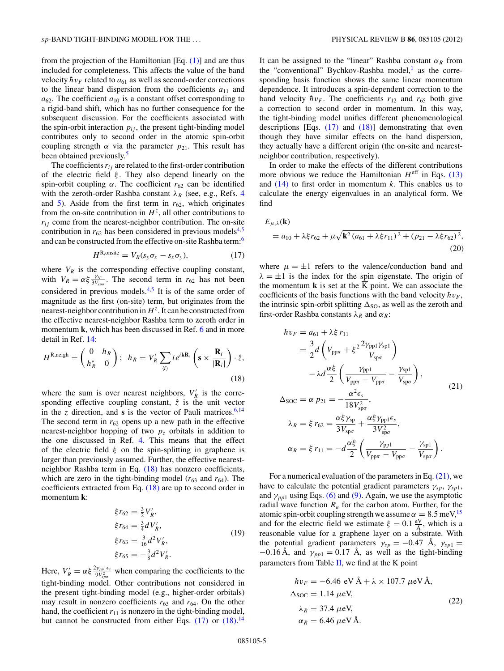<span id="page-4-0"></span>from the projection of the Hamiltonian [Eq.  $(1)$ ] and are thus included for completeness. This affects the value of the band velocity  $\hbar v_F$  related to  $a_{61}$  as well as second-order corrections to the linear band dispersion from the coefficients  $a_{11}$  and  $a_{62}$ . The coefficient  $a_{10}$  is a constant offset corresponding to a rigid-band shift, which has no further consequence for the subsequent discussion. For the coefficients associated with the spin-orbit interaction  $p_{ij}$ , the present tight-binding model contributes only to second order in the atomic spin-orbit coupling strength *α* via the parameter  $p_{21}$ . This result has been obtained previously.<sup>[5](#page-6-0)</sup>

The coefficients  $r_{ij}$  are related to the first-order contribution of the electric field *ξ* . They also depend linearly on the spin-orbit coupling  $\alpha$ . The coefficient  $r_{62}$  can be identified with the zeroth-order Rashba constant  $\lambda_R$  (see, e.g., Refs. [4](#page-6-0)) and  $\overline{5}$ ). Aside from the first term in  $r_{62}$ , which originates from the on-site contribution in  $H^z$ , all other contributions to  $r_{ij}$  come from the nearest-neighbor contribution. The on-site contribution in  $r_{62}$  has been considered in previous models<sup>4,5</sup> and can be constructed from the effective on-site Rashba term:[6](#page-6-0)

$$
H^{\text{R,onsite}} = V_R(s_y \sigma_x - s_x \sigma_y), \tag{17}
$$

where  $V_R$  is the corresponding effective coupling constant, with  $V_R = \alpha \xi \frac{\gamma_{sp}}{3V_{sp\sigma}}$ . The second term in  $r_{62}$  has not been considered in previous models.<sup>4,5</sup> It is of the same order of magnitude as the first (on-site) term, but originates from the nearest-neighbor contribution in  $H^z$ . It can be constructed from the effective nearest-neighbor Rashba term to zeroth order in momentum **k**, which has been discussed in Ref. [6](#page-6-0) and in more detail in Ref. [14:](#page-6-0)

$$
H^{\text{R,neigh}} = \begin{pmatrix} 0 & h_R \\ h_R^* & 0 \end{pmatrix}; \ \ h_R = V'_R \sum_{\langle i \rangle} i e^{i \mathbf{k} \mathbf{R}_i} \left( \mathbf{s} \times \frac{\mathbf{R}_i}{|\mathbf{R}_i|} \right) \cdot \hat{z},\tag{18}
$$

where the sum is over nearest neighbors,  $V'_R$  is the corresponding effective coupling constant,  $\hat{z}$  is the unit vector in the *z* direction, and **s** is the vector of Pauli matrices.<sup>6,14</sup> The second term in  $r_{62}$  opens up a new path in the effective nearest-neighbor hopping of two  $p<sub>z</sub>$  orbitals in addition to the one discussed in Ref. [4.](#page-6-0) This means that the effect of the electric field *ξ* on the spin-splitting in graphene is larger than previously assumed. Further, the effective nearestneighbor Rashba term in Eq. (18) has nonzero coefficients, which are zero in the tight-binding model  $(r_{63}$  and  $r_{64})$ . The coefficients extracted from Eq. (18) are up to second order in momentum **k**:

$$
\xi r_{62} = \frac{3}{2} V'_R,
$$
  
\n
$$
\xi r_{64} = \frac{3}{4} dV'_R,
$$
  
\n
$$
\xi r_{63} = \frac{3}{16} d^2 V'_R,
$$
  
\n
$$
\xi r_{65} = -\frac{3}{8} d^2 V'_R.
$$
\n(19)

Here,  $V'_R = \alpha \xi \frac{2\gamma_{pp1}\epsilon_s}{9V_{sp2}^2}$  when comparing the coefficients to the tight-binding model. Other contributions not considered in the present tight-binding model (e.g., higher-order orbitals) may result in nonzero coefficients  $r_{63}$  and  $r_{64}$ . On the other hand, the coefficient  $r_{11}$  is nonzero in the tight-binding model, but cannot be constructed from either Eqs.  $(17)$  or  $(18)$ .<sup>[14](#page-6-0)</sup>

It can be assigned to the "linear" Rashba constant  $\alpha_R$  from the "conventional" Bychkov-Rashba model, $\frac{1}{1}$  as the corresponding basis function shows the same linear momentum dependence. It introduces a spin-dependent correction to the band velocity  $\hbar v_F$ . The coefficients  $r_{12}$  and  $r_{65}$  both give a correction to second order in momentum. In this way, the tight-binding model unifies different phenomenological descriptions [Eqs.  $(17)$  and  $(18)$ ] demonstrating that even though they have similar effects on the band dispersion, they actually have a different origin (the on-site and nearestneighbor contribution, respectively).

In order to make the effects of the different contributions more obvious we reduce the Hamiltonian  $H^{\text{eff}}$  in Eqs. [\(13\)](#page-3-0) and  $(14)$  to first order in momentum *k*. This enables us to calculate the energy eigenvalues in an analytical form. We find

$$
E_{\mu,\lambda}(\mathbf{k})
$$
  
=  $a_{10} + \lambda \xi r_{62} + \mu \sqrt{\mathbf{k}^2 (a_{61} + \lambda \xi r_{11})^2 + (p_{21} - \lambda \xi r_{62})^2},$   
(20)

where  $\mu = \pm 1$  refers to the valence/conduction band and  $\lambda = \pm 1$  is the index for the spin eigenstate. The origin of the momentum **k** is set at the  $\overline{K}$  point. We can associate the coefficients of the basis functions with the band velocity  $h v_F$ , the intrinsic spin-orbit splitting  $\Delta_{\text{SO}}$ , as well as the zeroth and first-order Rashba constants  $\lambda_R$  and  $\alpha_R$ :

$$
\hbar v_F = a_{61} + \lambda \xi r_{11}
$$
\n
$$
= \frac{3}{2} d \left( V_{\text{pp} \pi} + \xi^2 \frac{2 \gamma_{\text{pp} 1} \gamma_{\text{sp} 1}}{V_{\text{sp} \sigma}} \right)
$$
\n
$$
- \lambda d \frac{\alpha \xi}{2} \left( \frac{\gamma_{\text{pp} 1}}{V_{\text{pp} \pi} - V_{\text{pp} \sigma}} - \frac{\gamma_{\text{sp} 1}}{V_{\text{sp} \sigma}} \right),
$$
\n
$$
\Delta_{\text{SOC}} = \alpha p_{21} = -\frac{\alpha^2 \epsilon_s}{18 V_{\text{sp} \sigma}^2},
$$
\n(21)

$$
\lambda_R = \xi r_{62} = \frac{\alpha \xi \gamma_{sp}}{3V_{sp\sigma}} + \frac{\alpha \xi \gamma_{pp1} \epsilon_s}{3V_{sp\sigma}^2},
$$

$$
\alpha_R = \xi r_{11} = -d \frac{\alpha \xi}{2} \left( \frac{\gamma_{pp1}}{V_{pp\pi} - V_{pp\sigma}} - \frac{\gamma_{sp1}}{V_{sp\sigma}} \right).
$$

For a numerical evaluation of the parameters in Eq.  $(21)$ , we have to calculate the potential gradient parameters  $\gamma_{sp}$ ,  $\gamma_{sp1}$ , and  $\gamma_{pp1}$  using Eqs. [\(6\)](#page-1-0) and [\(9\).](#page-2-0) Again, we use the asymptotic radial wave function  $R_a$  for the carbon atom. Further, for the atomic spin-orbit coupling strength we assume  $\alpha = 8.5$  meV,<sup>15</sup> and for the electric field we estimate  $\xi = 0.1 \frac{eV}{\hat{A}}$ , which is a reasonable value for a graphene layer on a substrate. With the potential gradient parameters  $\gamma_{sp} = -0.47 \text{ Å}, \gamma_{sp1} =$  $-0.16 \text{ Å}$ , and  $\gamma_{pp1} = 0.17 \text{ Å}$ , as well as the tight-binding parameters from Table [II,](#page-5-0) we find at the  $\overline{K}$  point

$$
\hbar v_F = -6.46 \text{ eV} \text{ Å} + \lambda \times 107.7 \ \mu\text{eV} \text{ Å},
$$
  
\n
$$
\Delta_{\text{SOC}} = 1.14 \ \mu\text{eV},
$$
  
\n
$$
\lambda_R = 37.4 \ \mu\text{eV},
$$
  
\n
$$
\alpha_R = 6.46 \ \mu\text{eV} \text{ Å}.
$$
\n(22)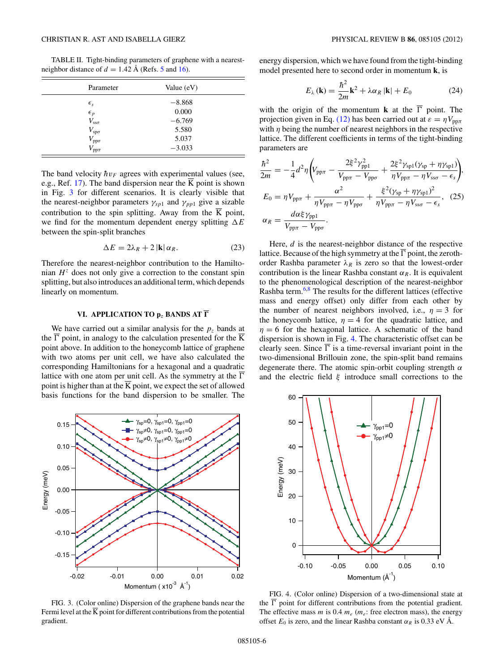<span id="page-5-0"></span>TABLE II. Tight-binding parameters of graphene with a nearestneighbor distance of  $d = 1.42 \text{ Å}$  (Refs. [5](#page-6-0) and [16\)](#page-6-0).

| Parameter               | Value $(eV)$ |  |
|-------------------------|--------------|--|
| $\epsilon_{s}$          | $-8.868$     |  |
| $\epsilon_p$            | 0.000        |  |
| $V_{\rm sso}$           | $-6.769$     |  |
| $V_{\rm sp\sigma}$      | 5.580        |  |
| $V_{\mathrm{pp}\sigma}$ | 5.037        |  |
| $V_{\rm pp\pi}$         | $-3.033$     |  |

The band velocity  $hv_F$  agrees with experimental values (see, e.g., Ref. [17\)](#page-6-0). The band dispersion near the  $\overline{K}$  point is shown in Fig. 3 for different scenarios. It is clearly visible that the nearest-neighbor parameters  $\gamma_{sp1}$  and  $\gamma_{pp1}$  give a sizable contribution to the spin splitting. Away from the  $\overline{K}$  point, we find for the momentum dependent energy splitting  $\Delta E$ between the spin-split branches

$$
\Delta E = 2\lambda_R + 2 \left| \mathbf{k} \right| \alpha_R. \tag{23}
$$

Therefore the nearest-neighbor contribution to the Hamiltonian  $H^z$  does not only give a correction to the constant spin splitting, but also introduces an additional term, which depends linearly on momentum.

#### **VI. APPLICATION TO p***<sup>z</sup>* **BANDS AT** *-*

We have carried out a similar analysis for the  $p<sub>z</sub>$  bands at the  $\Gamma$  point, in analogy to the calculation presented for the K point above. In addition to the honeycomb lattice of graphene with two atoms per unit cell, we have also calculated the corresponding Hamiltonians for a hexagonal and a quadratic lattice with one atom per unit cell. As the symmetry at the  $\overline{\Gamma}$ point is higher than at the  $\overline{K}$  point, we expect the set of allowed basis functions for the band dispersion to be smaller. The



FIG. 3. (Color online) Dispersion of the graphene bands near the Fermi level at the  $\overline{K}$  point for different contributions from the potential gradient.

energy dispersion, which we have found from the tight-binding model presented here to second order in momentum **k**, is

$$
E_{\lambda}(\mathbf{k}) = \frac{\hbar^2}{2m}\mathbf{k}^2 + \lambda \alpha_R |\mathbf{k}| + E_0
$$
 (24)

with the origin of the momentum **k** at the  $\overline{\Gamma}$  point. The projection given in Eq. [\(12\)](#page-3-0) has been carried out at  $\varepsilon = \eta V_{\text{nn}\pi}$ with  $\eta$  being the number of nearest neighbors in the respective lattice. The different coefficients in terms of the tight-binding parameters are

$$
\frac{\hbar^2}{2m} = -\frac{1}{4}d^2\eta \left( V_{\text{pp}\pi} - \frac{2\xi^2 \gamma_{\text{pp1}}^2}{V_{\text{pp}\pi} - V_{\text{pp}\sigma}} + \frac{2\xi^2 \gamma_{\text{sp1}}(\gamma_{\text{sp}} + \eta \gamma_{\text{sp1}})}{\eta V_{\text{pp}\pi} - \eta V_{\text{ss}\sigma} - \epsilon_s} \right),
$$
  
\n
$$
E_0 = \eta V_{\text{pp}\pi} + \frac{\alpha^2}{\eta V_{\text{pp}\pi} - \eta V_{\text{pp}\sigma}} + \frac{\xi^2 (\gamma_{\text{sp}} + \eta \gamma_{\text{sp1}})^2}{\eta V_{\text{pp}\pi} - \eta V_{\text{ss}\sigma} - \epsilon_s}, \quad (25)
$$
  
\n
$$
\alpha_R = \frac{d\alpha \xi \gamma_{\text{pp1}}}{V_{\text{pp}\pi} - V_{\text{pp}\sigma}}.
$$

Here, *d* is the nearest-neighbor distance of the respective lattice. Because of the high symmetry at the  $\Gamma$  point, the zerothorder Rashba parameter  $\lambda_R$  is zero so that the lowest-order contribution is the linear Rashba constant  $\alpha_R$ . It is equivalent to the phenomenological description of the nearest-neighbor Rashba term.[6,8](#page-6-0) The results for the different lattices (effective mass and energy offset) only differ from each other by the number of nearest neighbors involved, i.e.,  $\eta = 3$  for the honeycomb lattice,  $\eta = 4$  for the quadratic lattice, and  $\eta = 6$  for the hexagonal lattice. A schematic of the band dispersion is shown in Fig. 4. The characteristic offset can be clearly seen. Since  $\Gamma$  is a time-reversal invariant point in the two-dimensional Brillouin zone, the spin-split band remains degenerate there. The atomic spin-orbit coupling strength *α* and the electric field *ξ* introduce small corrections to the



FIG. 4. (Color online) Dispersion of a two-dimensional state at the  $\Gamma$  point for different contributions from the potential gradient. The effective mass  $m$  is 0.4  $m_e$  ( $m_e$ : free electron mass), the energy offset  $E_0$  is zero, and the linear Rashba constant  $\alpha_R$  is 0.33 eV Å.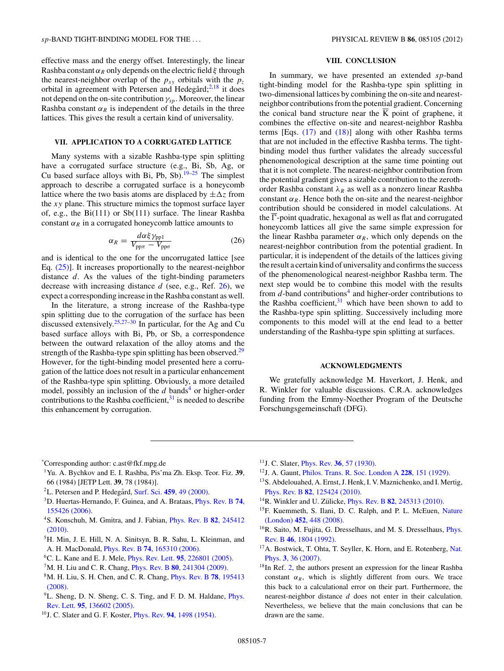<span id="page-6-0"></span>effective mass and the energy offset. Interestingly, the linear Rashba constant  $\alpha_R$  only depends on the electric field  $\xi$  through the nearest-neighbor overlap of the  $p_{xy}$  orbitals with the  $p_z$ orbital in agreement with Petersen and Hedegård; $^{2,18}$  it does not depend on the on-site contribution *γsp*. Moreover, the linear Rashba constant  $\alpha_R$  is independent of the details in the three lattices. This gives the result a certain kind of universality.

### **VII. APPLICATION TO A CORRUGATED LATTICE**

Many systems with a sizable Rashba-type spin splitting have a corrugated surface structure (e.g., Bi, Sb, Ag, or Cu based surface alloys with Bi, Pb, Sb).<sup>19–25</sup> The simplest approach to describe a corrugated surface is a honeycomb lattice where the two basis atoms are displaced by  $\pm \Delta z$  from the *xy* plane. This structure mimics the topmost surface layer of, e.g., the Bi(111) or Sb(111) surface. The linear Rashba constant  $\alpha_R$  in a corrugated honeycomb lattice amounts to

$$
\alpha_R = \frac{d\alpha\xi\gamma_{\rm pp1}}{V_{\rm pp\pi} - V_{\rm pp\sigma}}\tag{26}
$$

and is identical to the one for the uncorrugated lattice [see Eq. [\(25\)\]](#page-5-0). It increases proportionally to the nearest-neighbor distance *d*. As the values of the tight-binding parameters decrease with increasing distance *d* (see, e.g., Ref. [26\)](#page-7-0), we expect a corresponding increase in the Rashba constant as well.

In the literature, a strong increase of the Rashba-type spin splitting due to the corrugation of the surface has been discussed extensively.[25,27–30](#page-7-0) In particular, for the Ag and Cu based surface alloys with Bi, Pb, or Sb, a correspondence between the outward relaxation of the alloy atoms and the strength of the Rashba-type spin splitting has been observed.<sup>29</sup> However, for the tight-binding model presented here a corrugation of the lattice does not result in a particular enhancement of the Rashba-type spin splitting. Obviously, a more detailed model, possibly an inclusion of the *d* bands<sup>4</sup> or higher-order contributions to the Rashba coefficient, $31$  is needed to describe this enhancement by corrugation.

### **VIII. CONCLUSION**

In summary, we have presented an extended *sp*-band tight-binding model for the Rashba-type spin splitting in two-dimensional lattices by combining the on-site and nearestneighbor contributions from the potential gradient. Concerning the conical band structure near the K point of graphene, it combines the effective on-site and nearest-neighbor Rashba terms [Eqs.  $(17)$  and  $(18)$ ] along with other Rashba terms that are not included in the effective Rashba terms. The tightbinding model thus further validates the already successful phenomenological description at the same time pointing out that it is not complete. The nearest-neighbor contribution from the potential gradient gives a sizable contribution to the zerothorder Rashba constant  $\lambda_R$  as well as a nonzero linear Rashba constant  $\alpha_R$ . Hence both the on-site and the nearest-neighbor contribution should be considered in model calculations. At the  $\Gamma$ -point quadratic, hexagonal as well as flat and corrugated honeycomb lattices all give the same simple expression for the linear Rashba parameter  $\alpha_R$ , which only depends on the nearest-neighbor contribution from the potential gradient. In particular, it is independent of the details of the lattices giving the result a certain kind of universality and confirms the success of the phenomenological nearest-neighbor Rashba term. The next step would be to combine this model with the results from  $d$ -band contributions<sup>4</sup> and higher-order contributions to the Rashba coefficient, $31$  which have been shown to add to the Rashba-type spin splitting. Successively including more components to this model will at the end lead to a better understanding of the Rashba-type spin splitting at surfaces.

#### **ACKNOWLEDGMENTS**

We gratefully acknowledge M. Haverkort, J. Henk, and R. Winkler for valuable discussions. C.R.A. acknowledges funding from the Emmy-Noether Program of the Deutsche Forschungsgemeinschaft (DFG).

- 1Yu. A. Bychkov and E. I. Rashba, Pis'ma Zh. Eksp. Teor. Fiz. **39**, 66 (1984) [JETP Lett. **39**, 78 (1984)].
- <sup>2</sup>L. Petersen and P. Hedegård, Surf. Sci. 459[, 49 \(2000\).](http://dx.doi.org/10.1016/S0039-6028(00)00441-6)
- 3D. Huertas-Hernando, F. Guinea, and A. Brataas, [Phys. Rev. B](http://dx.doi.org/10.1103/PhysRevB.74.155426) **74**, [155426 \(2006\).](http://dx.doi.org/10.1103/PhysRevB.74.155426)
- 4S. Konschuh, M. Gmitra, and J. Fabian, [Phys. Rev. B](http://dx.doi.org/10.1103/PhysRevB.82.245412) **82**, 245412 [\(2010\).](http://dx.doi.org/10.1103/PhysRevB.82.245412)
- <sup>5</sup>H. Min, J. E. Hill, N. A. Sinitsyn, B. R. Sahu, L. Kleinman, and A. H. MacDonald, Phys. Rev. B **74**[, 165310 \(2006\).](http://dx.doi.org/10.1103/PhysRevB.74.165310)
- 6C. L. Kane and E. J. Mele, Phys. Rev. Lett. **95**[, 226801 \(2005\).](http://dx.doi.org/10.1103/PhysRevLett.95.226801)
- 7M. H. Liu and C. R. Chang, Phys. Rev. B **80**[, 241304 \(2009\).](http://dx.doi.org/10.1103/PhysRevB.80.241304)
- 8M. H. Liu, S. H. Chen, and C. R. Chang, [Phys. Rev. B](http://dx.doi.org/10.1103/PhysRevB.78.195413) **78**, 195413 [\(2008\).](http://dx.doi.org/10.1103/PhysRevB.78.195413)
- <sup>9</sup>L. Sheng, D. N. Sheng, C. S. Ting, and F. D. M. Haldane, *[Phys.](http://dx.doi.org/10.1103/PhysRevLett.95.136602)* Rev. Lett. **95**[, 136602 \(2005\).](http://dx.doi.org/10.1103/PhysRevLett.95.136602)
- 10J. C. Slater and G. F. Koster, Phys. Rev. **94**[, 1498 \(1954\).](http://dx.doi.org/10.1103/PhysRev.94.1498)
- 11J. C. Slater, Phys. Rev. **36**[, 57 \(1930\).](http://dx.doi.org/10.1103/PhysRev.36.57)
- 12J. A. Gaunt, [Philos. Trans. R. Soc. London A](http://dx.doi.org/10.1098/rsta.1929.0004) **228**, 151 (1929).
- <sup>13</sup>S. Abdelouahed, A. Ernst, J. Henk, I. V. Maznichenko, and I. Mertig, Phys. Rev. B **82**[, 125424 \(2010\).](http://dx.doi.org/10.1103/PhysRevB.82.125424)
- <sup>14</sup>R. Winkler and U. Zülicke, *Phys. Rev. B* **82**[, 245313 \(2010\).](http://dx.doi.org/10.1103/PhysRevB.82.245313)
- <sup>15</sup>F. Kuemmeth, S. Ilani, D. C. Ralph, and P. L. McEuen, [Nature](http://dx.doi.org/10.1038/nature06822) (London) **452**[, 448 \(2008\).](http://dx.doi.org/10.1038/nature06822)
- <sup>16</sup>R. Saito, M. Fujita, G. Dresselhaus, and M. S. Dresselhaus, *[Phys.](http://dx.doi.org/10.1103/PhysRevB.46.1804)* Rev. B **46**[, 1804 \(1992\).](http://dx.doi.org/10.1103/PhysRevB.46.1804)
- <sup>17</sup>A. Bostwick, T. Ohta, T. Seyller, K. Horn, and E. Rotenberg, [Nat.](http://dx.doi.org/10.1038/nphys477) Phys. **3**[, 36 \(2007\).](http://dx.doi.org/10.1038/nphys477)
- <sup>18</sup>In Ref. 2, the authors present an expression for the linear Rashba constant  $\alpha_R$ , which is slightly different from ours. We trace this back to a calculational error on their part. Furthermore, the nearest-neighbor distance *d* does not enter in their calculation. Nevertheless, we believe that the main conclusions that can be drawn are the same.

<sup>\*</sup> Corresponding author: c.ast@fkf.mpg.de